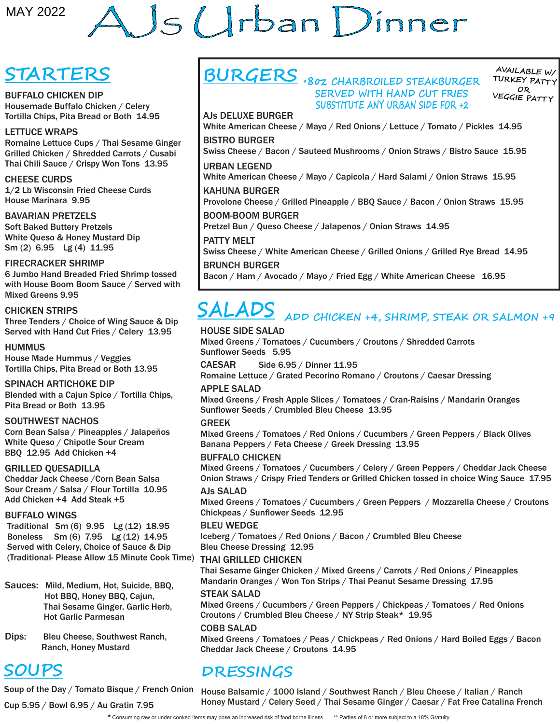# AJS Urban Dinner MAY 2022<br>
STARTERS<br>
SURVEY OF THE RESS. THE CONSUMER CONSUMER CONSUMER CONSUMER CONSUMER CONSUMER CONSUMER CONSUMER CONSUMER CONSUMER CONSUMER CONSUMER CONSUMER CONSUMER CONSUMER CONSUMER CONSUMER CONSUMER CONSUMER CONSUM

# **STARTERS**

BUFFALO CHICKEN DIP Housemade Buffalo Chicken / Celery Tortilla Chips, Pita Bread or Both 14.95

### LETTUCE WRAPS

Romaine Lettuce Cups / Thai Sesame Ginger Grilled Chicken / Shredded Carrots / Cusabi Thai Chili Sauce / Crispy Won Tons 13.95

### CHEESE CURDS

1/2 Lb Wisconsin Fried Cheese Curds House Marinara 9.95

BAVARIAN PRETZELS

Soft Baked Buttery Pretzels White Queso & Honey Mustard Dip Sm (2) 6.95 Lg (4) 11.95

### FIRECRACKER SHRIMP

6 Jumbo Hand Breaded Fried Shrimp tossed with House Boom Boom Sauce / Served with Mixed Greens 9.95

### CHICKEN STRIPS

Three Tenders / Choice of Wing Sauce & Dip Served with Hand Cut Fries / Celery 13.95

HUMMUS House Made Hummus / Veggies Tortilla Chips, Pita Bread or Both 13.95

SPINACH ARTICHOKE DIP Blended with a Cajun Spice / Tortilla Chips, Pita Bread or Both 13.95

### SOUTHWEST NACHOS

Corn Bean Salsa / Pineapples / Jalapeños White Queso / Chipotle Sour Cream BBQ 12.95 Add Chicken +4

### GRILLED QUESADILLA

Cheddar Jack Cheese /Corn Bean Salsa Sour Cream / Salsa / Flour Tortilla 10.95 Add Chicken +4 Add Steak +5

### BUFFALO WINGS

 Traditional Sm (6) 9.95 Lg (12) 18.95 Boneless Sm (6) 7.95 Lg (12) 14.95 Served with Celery, Choice of Sauce & Dip (Traditional- Please Allow 15 Minute Cook Time)

Sauces: Mild, Medium, Hot, Suicide, BBQ, Hot BBQ, Honey BBQ, Cajun, Thai Sesame Ginger, Garlic Herb, Hot Garlic Parmesan

Dips: Bleu Cheese, Southwest Ranch, Ranch, Honey Mustard

# **SOUPS**

Cup 5.95 / Bowl 6.95 / Au Gratin 7.95

**BURGERS \*8oz CHARBROILED STEAKBURGER SERVED WITH HAND CUT FRIES SUBSTITUTE ANY URBAN SIDE FOR +2**

**AVAILABLE W/ TURKEY PATT <sup>Y</sup> OR VEGGIE PATT <sup>Y</sup>**

AJs DELUXE BURGER White American Cheese / Mayo / Red Onions / Lettuce / Tomato / Pickles 14.95

BISTRO BURGER Swiss Cheese / Bacon / Sauteed Mushrooms / Onion Straws / Bistro Sauce 15.95

URBAN LEGEND White American Cheese / Mayo / Capicola / Hard Salami / Onion Straws 15.95 KAHUNA BURGER Provolone Cheese / Grilled Pineapple / BBQ Sauce / Bacon / Onion Straws 15.95

BOOM-BOOM BURGER

Pretzel Bun / Queso Cheese / Jalapenos / Onion Straws 14.95

### PATTY MELT

Swiss Cheese / White American Cheese / Grilled Onions / Grilled Rye Bread 14.95

### BRUNCH BURGER

Bacon / Ham / Avocado / Mayo / Fried Egg / White American Cheese 16.95

# **SALADS ADD CHICKEN +4, SHRIMP, STEAK OR SALMON +9**

### HOUSE SIDE SALAD

Mixed Greens / Tomatoes / Cucumbers / Croutons / Shredded Carrots Sunflower Seeds 5.95

CAESAR Side 6.95 / Dinner 11.95

Romaine Lettuce / Grated Pecorino Romano / Croutons / Caesar Dressing APPLE SALAD

Mixed Greens / Fresh Apple Slices / Tomatoes / Cran-Raisins / Mandarin Oranges Sunflower Seeds / Crumbled Bleu Cheese 13.95

### GREEK

Mixed Greens / Tomatoes / Red Onions / Cucumbers / Green Peppers / Black Olives Banana Peppers / Feta Cheese / Greek Dressing 13.95

### BUFFALO CHICKEN

Mixed Greens / Tomatoes / Cucumbers / Celery / Green Peppers / Cheddar Jack Cheese Onion Straws / Crispy Fried Tenders or Grilled Chicken tossed in choice Wing Sauce 17.95

### AJs SALAD

Mixed Greens / Tomatoes / Cucumbers / Green Peppers / Mozzarella Cheese / Croutons Chickpeas / Sunflower Seeds 12.95

### BLEU WEDGE

Iceberg / Tomatoes / Red Onions / Bacon / Crumbled Bleu Cheese Bleu Cheese Dressing 12.95

### THAI GRILLED CHICKEN

Thai Sesame Ginger Chicken / Mixed Greens / Carrots / Red Onions / Pineapples Mandarin Oranges / Won Ton Strips / Thai Peanut Sesame Dressing 17.95

### STEAK SALAD

Mixed Greens / Cucumbers / Green Peppers / Chickpeas / Tomatoes / Red Onions Croutons / Crumbled Bleu Cheese / NY Strip Steak\* 19.95

### COBB SALAD

Mixed Greens / Tomatoes / Peas / Chickpeas / Red Onions / Hard Boiled Eggs / Bacon Cheddar Jack Cheese / Croutons 14.95

## **DRESSINGS**

Soup of the Day / Tomato Bisque / French Onion µHouse Balsamic / 1000 Island / Southwest Ranch / Bleu Cheese / Italian / Ranch Honey Mustard / Celery Seed / Thai Sesame Ginger / Caesar / Fat Free Catalina French